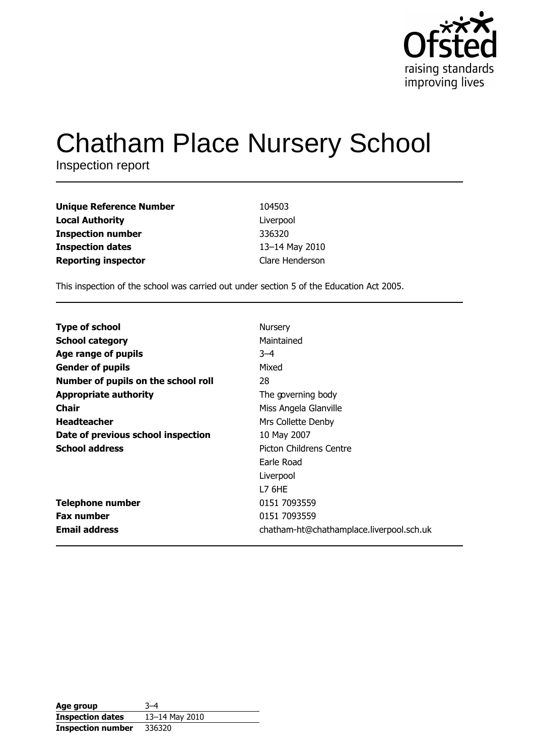

# **Chatham Place Nursery School**

Inspection report

| <b>Unique Reference Number</b> | 104503          |
|--------------------------------|-----------------|
| <b>Local Authority</b>         | Liverpool       |
| <b>Inspection number</b>       | 336320          |
| <b>Inspection dates</b>        | 13-14 May 2010  |
| <b>Reporting inspector</b>     | Clare Henderson |

This inspection of the school was carried out under section 5 of the Education Act 2005.

| <b>Type of school</b>               | Nursery                                  |
|-------------------------------------|------------------------------------------|
| <b>School category</b>              | Maintained                               |
| Age range of pupils                 | $3 - 4$                                  |
| <b>Gender of pupils</b>             | Mixed                                    |
| Number of pupils on the school roll | 28                                       |
| <b>Appropriate authority</b>        | The governing body                       |
| Chair                               | Miss Angela Glanville                    |
| <b>Headteacher</b>                  | Mrs Collette Denby                       |
| Date of previous school inspection  | 10 May 2007                              |
| <b>School address</b>               | Picton Childrens Centre                  |
|                                     | Earle Road                               |
|                                     | Liverpool                                |
|                                     | <b>L7 6HE</b>                            |
| <b>Telephone number</b>             | 0151 7093559                             |
| <b>Fax number</b>                   | 0151 7093559                             |
| <b>Email address</b>                | chatham-ht@chathamplace.liverpool.sch.uk |

| Age group                | $3 - 4$        |
|--------------------------|----------------|
| <b>Inspection dates</b>  | 13–14 May 2010 |
| <b>Inspection number</b> | 336320         |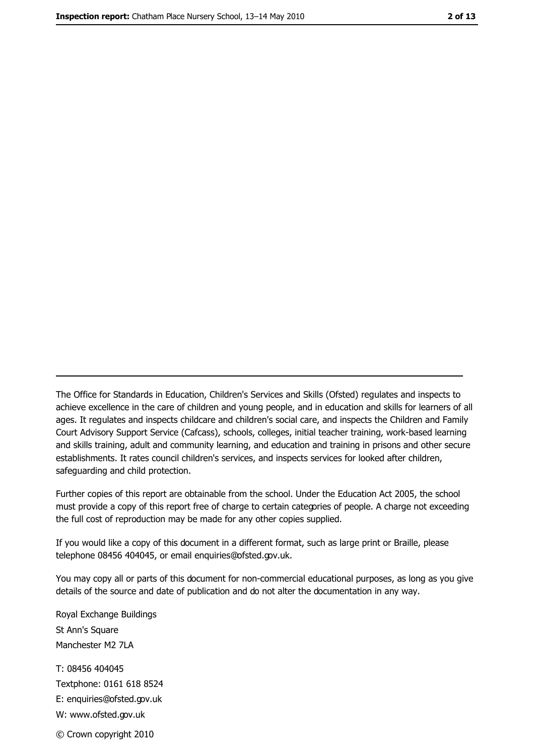The Office for Standards in Education, Children's Services and Skills (Ofsted) regulates and inspects to achieve excellence in the care of children and young people, and in education and skills for learners of all ages. It regulates and inspects childcare and children's social care, and inspects the Children and Family Court Advisory Support Service (Cafcass), schools, colleges, initial teacher training, work-based learning and skills training, adult and community learning, and education and training in prisons and other secure establishments. It rates council children's services, and inspects services for looked after children, safequarding and child protection.

Further copies of this report are obtainable from the school. Under the Education Act 2005, the school must provide a copy of this report free of charge to certain categories of people. A charge not exceeding the full cost of reproduction may be made for any other copies supplied.

If you would like a copy of this document in a different format, such as large print or Braille, please telephone 08456 404045, or email enquiries@ofsted.gov.uk.

You may copy all or parts of this document for non-commercial educational purposes, as long as you give details of the source and date of publication and do not alter the documentation in any way.

Royal Exchange Buildings St Ann's Square Manchester M2 7LA T: 08456 404045 Textphone: 0161 618 8524 E: enquiries@ofsted.gov.uk W: www.ofsted.gov.uk © Crown copyright 2010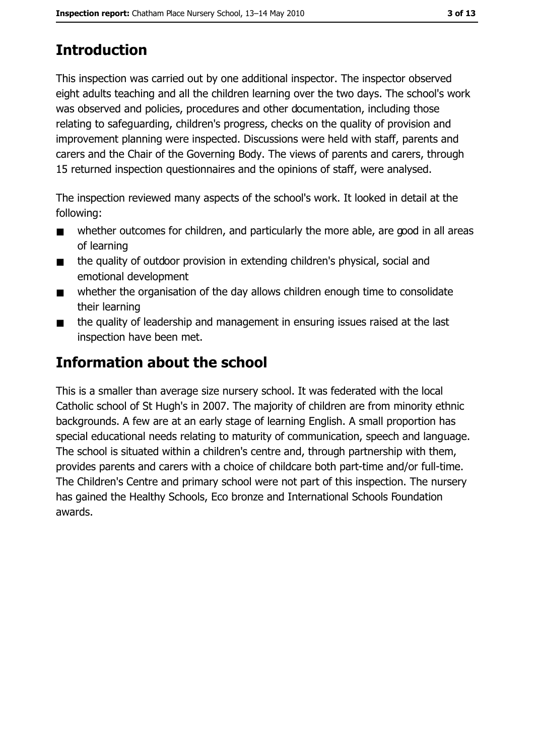# **Introduction**

This inspection was carried out by one additional inspector. The inspector observed eight adults teaching and all the children learning over the two days. The school's work was observed and policies, procedures and other documentation, including those relating to safeguarding, children's progress, checks on the quality of provision and improvement planning were inspected. Discussions were held with staff, parents and carers and the Chair of the Governing Body. The views of parents and carers, through 15 returned inspection questionnaires and the opinions of staff, were analysed.

The inspection reviewed many aspects of the school's work. It looked in detail at the following:

- whether outcomes for children, and particularly the more able, are good in all areas  $\blacksquare$ of learning
- the quality of outdoor provision in extending children's physical, social and  $\blacksquare$ emotional development
- whether the organisation of the day allows children enough time to consolidate  $\blacksquare$ their learning
- the quality of leadership and management in ensuring issues raised at the last  $\blacksquare$ inspection have been met.

# **Information about the school**

This is a smaller than average size nursery school. It was federated with the local Catholic school of St Hugh's in 2007. The majority of children are from minority ethnic backgrounds. A few are at an early stage of learning English. A small proportion has special educational needs relating to maturity of communication, speech and language. The school is situated within a children's centre and, through partnership with them, provides parents and carers with a choice of childcare both part-time and/or full-time. The Children's Centre and primary school were not part of this inspection. The nursery has gained the Healthy Schools, Eco bronze and International Schools Foundation awards.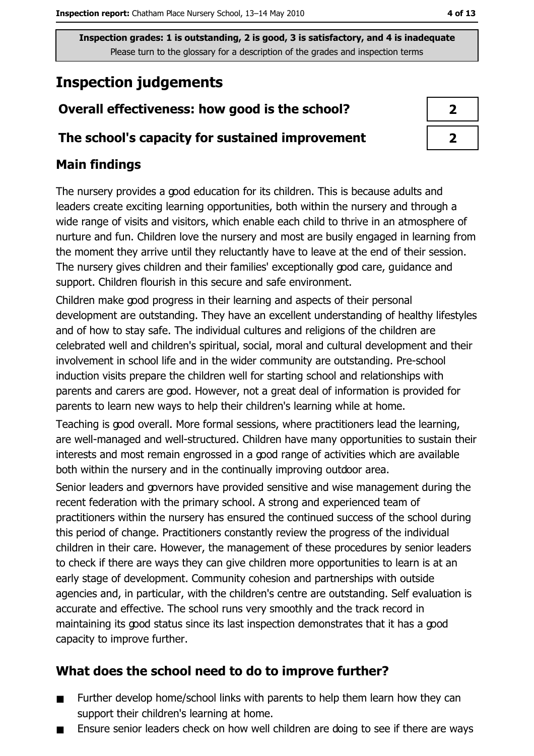Inspection grades: 1 is outstanding, 2 is good, 3 is satisfactory, and 4 is inadequate Please turn to the glossary for a description of the grades and inspection terms

# **Inspection judgements**

## Overall effectiveness: how good is the school?

#### The school's capacity for sustained improvement

## **Main findings**

The nursery provides a good education for its children. This is because adults and leaders create exciting learning opportunities, both within the nursery and through a wide range of visits and visitors, which enable each child to thrive in an atmosphere of nurture and fun. Children love the nursery and most are busily engaged in learning from the moment they arrive until they reluctantly have to leave at the end of their session. The nursery gives children and their families' exceptionally good care, guidance and support. Children flourish in this secure and safe environment.

Children make good progress in their learning and aspects of their personal development are outstanding. They have an excellent understanding of healthy lifestyles and of how to stay safe. The individual cultures and religions of the children are celebrated well and children's spiritual, social, moral and cultural development and their involvement in school life and in the wider community are outstanding. Pre-school induction visits prepare the children well for starting school and relationships with parents and carers are good. However, not a great deal of information is provided for parents to learn new ways to help their children's learning while at home.

Teaching is good overall. More formal sessions, where practitioners lead the learning, are well-managed and well-structured. Children have many opportunities to sustain their interests and most remain engrossed in a good range of activities which are available both within the nursery and in the continually improving outdoor area.

Senior leaders and governors have provided sensitive and wise management during the recent federation with the primary school. A strong and experienced team of practitioners within the nursery has ensured the continued success of the school during this period of change. Practitioners constantly review the progress of the individual children in their care. However, the management of these procedures by senior leaders to check if there are ways they can give children more opportunities to learn is at an early stage of development. Community cohesion and partnerships with outside agencies and, in particular, with the children's centre are outstanding. Self evaluation is accurate and effective. The school runs very smoothly and the track record in maintaining its good status since its last inspection demonstrates that it has a good capacity to improve further.

## What does the school need to do to improve further?

- Further develop home/school links with parents to help them learn how they can  $\blacksquare$ support their children's learning at home.
- Ensure senior leaders check on how well children are doing to see if there are ways

 $\overline{2}$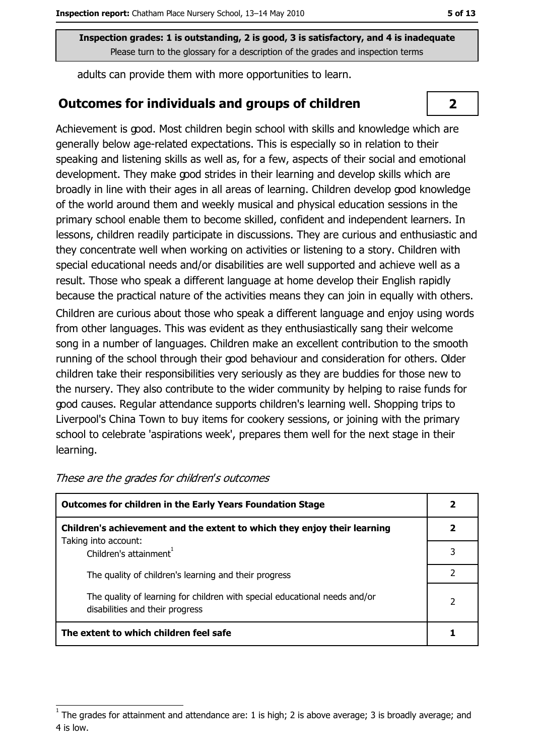Inspection grades: 1 is outstanding, 2 is good, 3 is satisfactory, and 4 is inadequate Please turn to the glossary for a description of the grades and inspection terms

adults can provide them with more opportunities to learn.

#### **Outcomes for individuals and groups of children**

Achievement is good. Most children begin school with skills and knowledge which are generally below age-related expectations. This is especially so in relation to their speaking and listening skills as well as, for a few, aspects of their social and emotional development. They make good strides in their learning and develop skills which are broadly in line with their ages in all areas of learning. Children develop good knowledge of the world around them and weekly musical and physical education sessions in the primary school enable them to become skilled, confident and independent learners. In lessons, children readily participate in discussions. They are curious and enthusiastic and they concentrate well when working on activities or listening to a story. Children with special educational needs and/or disabilities are well supported and achieve well as a result. Those who speak a different language at home develop their English rapidly because the practical nature of the activities means they can join in equally with others. Children are curious about those who speak a different language and enjoy using words from other languages. This was evident as they enthusiastically sang their welcome song in a number of languages. Children make an excellent contribution to the smooth running of the school through their good behaviour and consideration for others. Older children take their responsibilities very seriously as they are buddies for those new to the nursery. They also contribute to the wider community by helping to raise funds for good causes. Regular attendance supports children's learning well. Shopping trips to Liverpool's China Town to buy items for cookery sessions, or joining with the primary school to celebrate 'aspirations week', prepares them well for the next stage in their learning.

| <b>Outcomes for children in the Early Years Foundation Stage</b>                                              |  |
|---------------------------------------------------------------------------------------------------------------|--|
| Children's achievement and the extent to which they enjoy their learning                                      |  |
| Taking into account:<br>Children's attainment <sup>1</sup>                                                    |  |
| The quality of children's learning and their progress                                                         |  |
| The quality of learning for children with special educational needs and/or<br>disabilities and their progress |  |
| The extent to which children feel safe                                                                        |  |

 $\overline{2}$ 

The grades for attainment and attendance are: 1 is high; 2 is above average; 3 is broadly average; and 4 is low.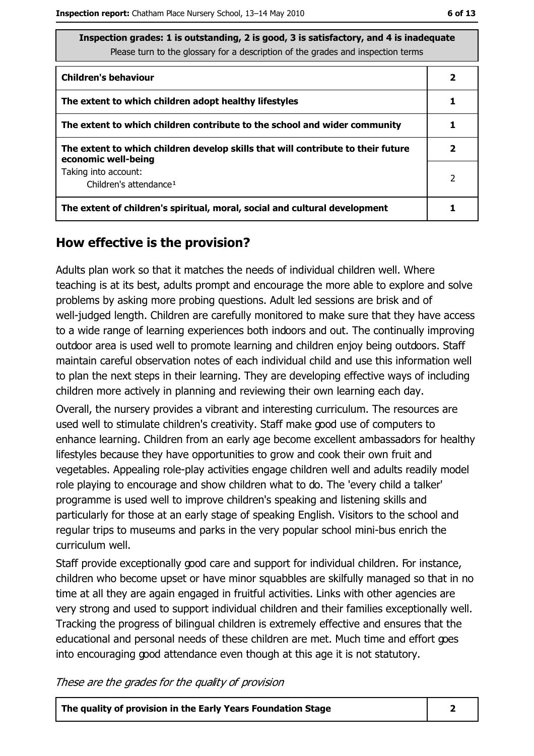| Inspection grades: 1 is outstanding, 2 is good, 3 is satisfactory, and 4 is inadequate |
|----------------------------------------------------------------------------------------|
| Please turn to the glossary for a description of the grades and inspection terms       |

| <b>Children's behaviour</b>                                                                             | 2 |
|---------------------------------------------------------------------------------------------------------|---|
| The extent to which children adopt healthy lifestyles                                                   |   |
| The extent to which children contribute to the school and wider community                               |   |
| The extent to which children develop skills that will contribute to their future<br>economic well-being | 2 |
| Taking into account:<br>Children's attendance <sup>1</sup>                                              | 2 |
| The extent of children's spiritual, moral, social and cultural development                              |   |

#### How effective is the provision?

Adults plan work so that it matches the needs of individual children well. Where teaching is at its best, adults prompt and encourage the more able to explore and solve problems by asking more probing questions. Adult led sessions are brisk and of well-judged length. Children are carefully monitored to make sure that they have access to a wide range of learning experiences both indoors and out. The continually improving outdoor area is used well to promote learning and children enjoy being outdoors. Staff maintain careful observation notes of each individual child and use this information well to plan the next steps in their learning. They are developing effective ways of including children more actively in planning and reviewing their own learning each day. Overall, the nursery provides a vibrant and interesting curriculum. The resources are used well to stimulate children's creativity. Staff make good use of computers to enhance learning. Children from an early age become excellent ambassadors for healthy lifestyles because they have opportunities to grow and cook their own fruit and vegetables. Appealing role-play activities engage children well and adults readily model role playing to encourage and show children what to do. The 'every child a talker' programme is used well to improve children's speaking and listening skills and particularly for those at an early stage of speaking English. Visitors to the school and regular trips to museums and parks in the very popular school mini-bus enrich the curriculum well.

Staff provide exceptionally good care and support for individual children. For instance, children who become upset or have minor squabbles are skilfully managed so that in no time at all they are again engaged in fruitful activities. Links with other agencies are very strong and used to support individual children and their families exceptionally well. Tracking the progress of bilingual children is extremely effective and ensures that the educational and personal needs of these children are met. Much time and effort goes into encouraging good attendance even though at this age it is not statutory.

These are the grades for the quality of provision

The quality of provision in the Early Years Foundation Stage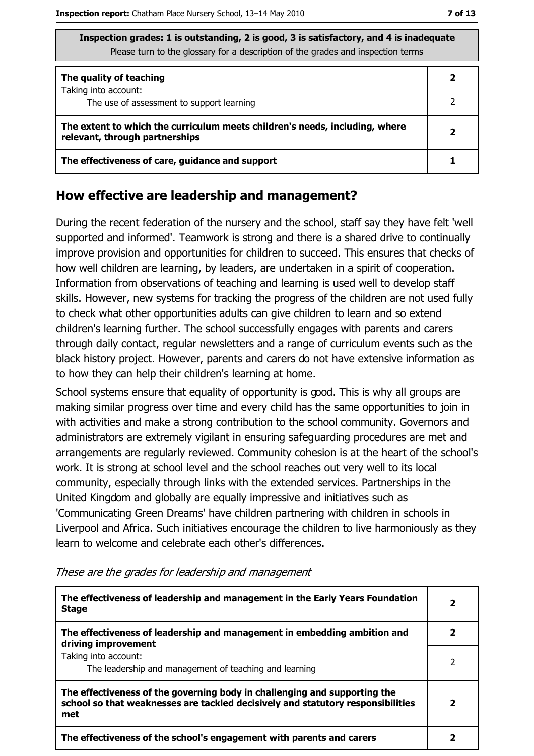| Thispection grades: 1 is outstanding, 2 is good, 3 is satisfactory, and 4 is inadequate<br>Please turn to the glossary for a description of the grades and inspection terms |  |  |  |  |
|-----------------------------------------------------------------------------------------------------------------------------------------------------------------------------|--|--|--|--|
| The quality of teaching<br>Taking into account:                                                                                                                             |  |  |  |  |
| The use of assessment to support learning                                                                                                                                   |  |  |  |  |
| The extent to which the curriculum meets children's needs, including, where<br>relevant, through partnerships                                                               |  |  |  |  |
| The effectiveness of care, guidance and support                                                                                                                             |  |  |  |  |

#### How effective are leadership and management?

During the recent federation of the nursery and the school, staff say they have felt 'well supported and informed'. Teamwork is strong and there is a shared drive to continually improve provision and opportunities for children to succeed. This ensures that checks of how well children are learning, by leaders, are undertaken in a spirit of cooperation. Information from observations of teaching and learning is used well to develop staff skills. However, new systems for tracking the progress of the children are not used fully to check what other opportunities adults can give children to learn and so extend children's learning further. The school successfully engages with parents and carers through daily contact, regular newsletters and a range of curriculum events such as the black history project. However, parents and carers do not have extensive information as to how they can help their children's learning at home.

School systems ensure that equality of opportunity is good. This is why all groups are making similar progress over time and every child has the same opportunities to join in with activities and make a strong contribution to the school community. Governors and administrators are extremely vigilant in ensuring safeguarding procedures are met and arrangements are regularly reviewed. Community cohesion is at the heart of the school's work. It is strong at school level and the school reaches out very well to its local community, especially through links with the extended services. Partnerships in the United Kingdom and globally are equally impressive and initiatives such as 'Communicating Green Dreams' have children partnering with children in schools in Liverpool and Africa. Such initiatives encourage the children to live harmoniously as they learn to welcome and celebrate each other's differences.

| The effectiveness of leadership and management in the Early Years Foundation<br><b>Stage</b>                                                                        | 2 |
|---------------------------------------------------------------------------------------------------------------------------------------------------------------------|---|
| The effectiveness of leadership and management in embedding ambition and<br>driving improvement                                                                     |   |
| Taking into account:<br>The leadership and management of teaching and learning                                                                                      |   |
| The effectiveness of the governing body in challenging and supporting the<br>school so that weaknesses are tackled decisively and statutory responsibilities<br>met |   |
| The effectiveness of the school's engagement with parents and carers                                                                                                |   |

These are the grades for leadership and management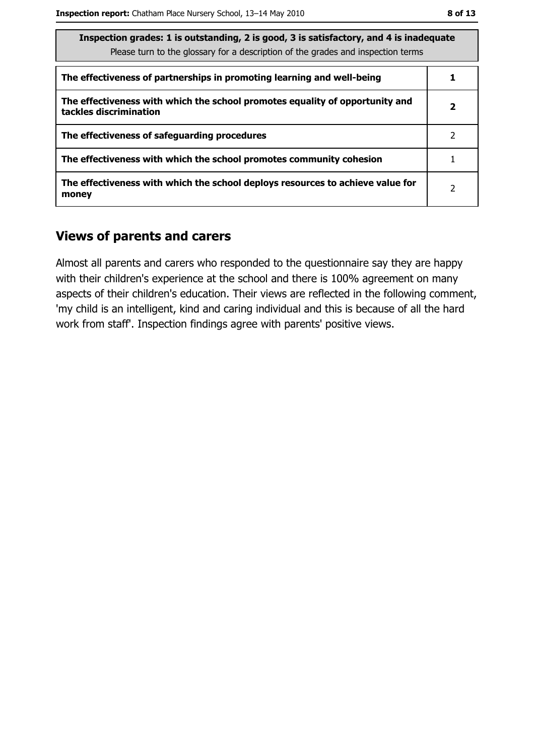| Inspection grades: 1 is outstanding, 2 is good, 3 is satisfactory, and 4 is inadequate<br>Please turn to the glossary for a description of the grades and inspection terms |   |  |
|----------------------------------------------------------------------------------------------------------------------------------------------------------------------------|---|--|
| The effectiveness of partnerships in promoting learning and well-being                                                                                                     |   |  |
| The effectiveness with which the school promotes equality of opportunity and<br>tackles discrimination                                                                     | 2 |  |
| The effectiveness of safeguarding procedures                                                                                                                               | 2 |  |
| The effectiveness with which the school promotes community cohesion                                                                                                        |   |  |
| The effectiveness with which the school deploys resources to achieve value for<br>money                                                                                    | 2 |  |

### **Views of parents and carers**

Almost all parents and carers who responded to the questionnaire say they are happy with their children's experience at the school and there is 100% agreement on many aspects of their children's education. Their views are reflected in the following comment, 'my child is an intelligent, kind and caring individual and this is because of all the hard work from staff'. Inspection findings agree with parents' positive views.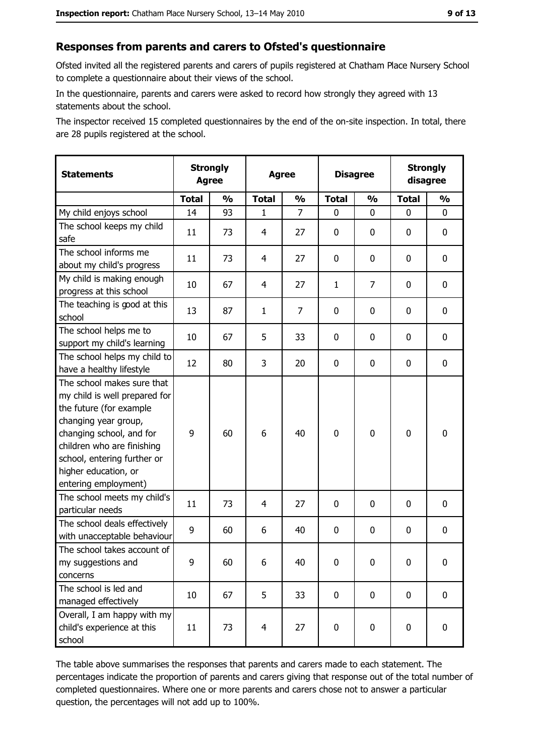#### Responses from parents and carers to Ofsted's questionnaire

Ofsted invited all the registered parents and carers of pupils registered at Chatham Place Nursery School to complete a questionnaire about their views of the school.

In the questionnaire, parents and carers were asked to record how strongly they agreed with 13 statements about the school.

The inspector received 15 completed questionnaires by the end of the on-site inspection. In total, there are 28 pupils registered at the school.

| <b>Statements</b>                                                                                                                                                                                                                                       | <b>Strongly</b><br><b>Agree</b> |               | <b>Agree</b>   |                |              |               | <b>Disagree</b> |               | <b>Strongly</b><br>disagree |  |
|---------------------------------------------------------------------------------------------------------------------------------------------------------------------------------------------------------------------------------------------------------|---------------------------------|---------------|----------------|----------------|--------------|---------------|-----------------|---------------|-----------------------------|--|
|                                                                                                                                                                                                                                                         | <b>Total</b>                    | $\frac{1}{2}$ | <b>Total</b>   | $\frac{1}{2}$  | <b>Total</b> | $\frac{0}{0}$ | <b>Total</b>    | $\frac{1}{2}$ |                             |  |
| My child enjoys school                                                                                                                                                                                                                                  | 14                              | 93            | $\mathbf{1}$   | $\overline{7}$ | 0            | 0             | 0               | 0             |                             |  |
| The school keeps my child<br>safe                                                                                                                                                                                                                       | 11                              | 73            | 4              | 27             | $\mathbf 0$  | 0             | 0               | 0             |                             |  |
| The school informs me<br>about my child's progress                                                                                                                                                                                                      | 11                              | 73            | 4              | 27             | $\mathbf 0$  | 0             | $\mathbf{0}$    | 0             |                             |  |
| My child is making enough<br>progress at this school                                                                                                                                                                                                    | 10                              | 67            | 4              | 27             | $\mathbf{1}$ | 7             | 0               | 0             |                             |  |
| The teaching is good at this<br>school                                                                                                                                                                                                                  | 13                              | 87            | $\mathbf{1}$   | $\overline{7}$ | $\mathbf 0$  | 0             | 0               | 0             |                             |  |
| The school helps me to<br>support my child's learning                                                                                                                                                                                                   | 10                              | 67            | 5              | 33             | $\mathbf 0$  | 0             | 0               | 0             |                             |  |
| The school helps my child to<br>have a healthy lifestyle                                                                                                                                                                                                | 12                              | 80            | 3              | 20             | $\mathbf 0$  | 0             | 0               | 0             |                             |  |
| The school makes sure that<br>my child is well prepared for<br>the future (for example<br>changing year group,<br>changing school, and for<br>children who are finishing<br>school, entering further or<br>higher education, or<br>entering employment) | 9                               | 60            | 6              | 40             | $\mathbf 0$  | 0             | $\mathbf 0$     | 0             |                             |  |
| The school meets my child's<br>particular needs                                                                                                                                                                                                         | 11                              | 73            | 4              | 27             | $\mathbf 0$  | 0             | 0               | 0             |                             |  |
| The school deals effectively<br>with unacceptable behaviour                                                                                                                                                                                             | 9                               | 60            | 6              | 40             | $\mathbf 0$  | 0             | 0               | 0             |                             |  |
| The school takes account of<br>my suggestions and<br>concerns                                                                                                                                                                                           | 9                               | 60            | 6              | 40             | $\mathbf 0$  | 0             | 0               | 0             |                             |  |
| The school is led and<br>managed effectively                                                                                                                                                                                                            | 10                              | 67            | 5              | 33             | $\mathbf 0$  | 0             | 0               | $\mathbf 0$   |                             |  |
| Overall, I am happy with my<br>child's experience at this<br>school                                                                                                                                                                                     | 11                              | 73            | $\overline{4}$ | 27             | $\mathbf 0$  | 0             | $\mathbf 0$     | 0             |                             |  |

The table above summarises the responses that parents and carers made to each statement. The percentages indicate the proportion of parents and carers giving that response out of the total number of completed questionnaires. Where one or more parents and carers chose not to answer a particular question, the percentages will not add up to 100%.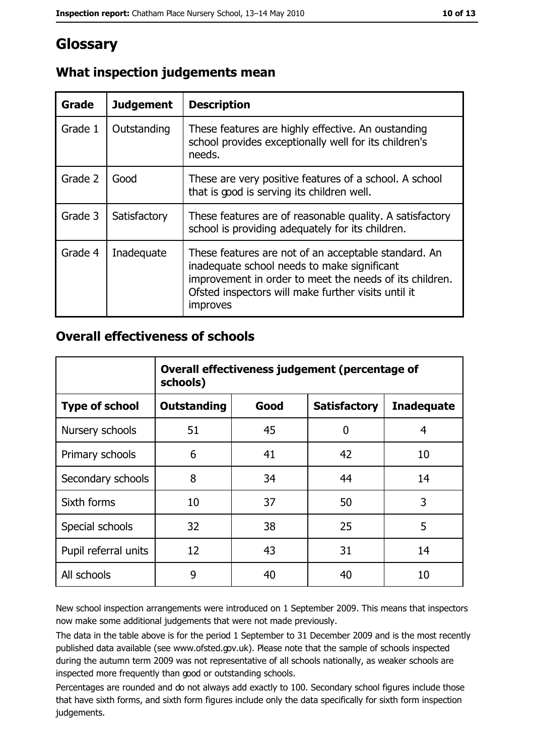## Glossary

| Grade   | <b>Judgement</b> | <b>Description</b>                                                                                                                                                                                                                |
|---------|------------------|-----------------------------------------------------------------------------------------------------------------------------------------------------------------------------------------------------------------------------------|
| Grade 1 | Outstanding      | These features are highly effective. An oustanding<br>school provides exceptionally well for its children's<br>needs.                                                                                                             |
| Grade 2 | Good             | These are very positive features of a school. A school<br>that is good is serving its children well.                                                                                                                              |
| Grade 3 | Satisfactory     | These features are of reasonable quality. A satisfactory<br>school is providing adequately for its children.                                                                                                                      |
| Grade 4 | Inadequate       | These features are not of an acceptable standard. An<br>inadequate school needs to make significant<br>improvement in order to meet the needs of its children.<br>Ofsted inspectors will make further visits until it<br>improves |

## What inspection judgements mean

#### **Overall effectiveness of schools**

|                       | Overall effectiveness judgement (percentage of<br>schools) |      |                     |                   |
|-----------------------|------------------------------------------------------------|------|---------------------|-------------------|
| <b>Type of school</b> | <b>Outstanding</b>                                         | Good | <b>Satisfactory</b> | <b>Inadequate</b> |
| Nursery schools       | 51                                                         | 45   | 0                   | 4                 |
| Primary schools       | 6                                                          | 41   | 42                  | 10                |
| Secondary schools     | 8                                                          | 34   | 44                  | 14                |
| Sixth forms           | 10                                                         | 37   | 50                  | 3                 |
| Special schools       | 32                                                         | 38   | 25                  | 5                 |
| Pupil referral units  | 12                                                         | 43   | 31                  | 14                |
| All schools           | 9                                                          | 40   | 40                  | 10                |

New school inspection arrangements were introduced on 1 September 2009. This means that inspectors now make some additional judgements that were not made previously.

The data in the table above is for the period 1 September to 31 December 2009 and is the most recently published data available (see www.ofsted.gov.uk). Please note that the sample of schools inspected during the autumn term 2009 was not representative of all schools nationally, as weaker schools are inspected more frequently than good or outstanding schools.

Percentages are rounded and do not always add exactly to 100. Secondary school figures include those that have sixth forms, and sixth form figures include only the data specifically for sixth form inspection judgements.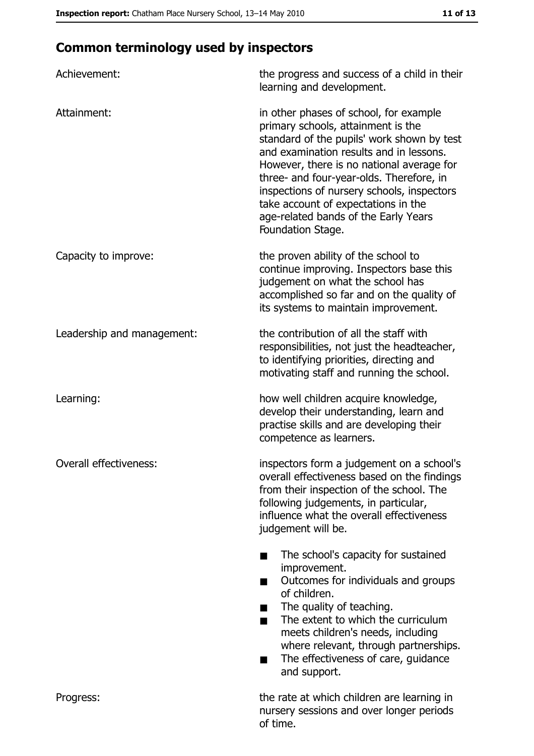# **Common terminology used by inspectors**

| Achievement:               | the progress and success of a child in their<br>learning and development.                                                                                                                                                                                                                                                                                                                                        |  |  |
|----------------------------|------------------------------------------------------------------------------------------------------------------------------------------------------------------------------------------------------------------------------------------------------------------------------------------------------------------------------------------------------------------------------------------------------------------|--|--|
| Attainment:                | in other phases of school, for example<br>primary schools, attainment is the<br>standard of the pupils' work shown by test<br>and examination results and in lessons.<br>However, there is no national average for<br>three- and four-year-olds. Therefore, in<br>inspections of nursery schools, inspectors<br>take account of expectations in the<br>age-related bands of the Early Years<br>Foundation Stage. |  |  |
| Capacity to improve:       | the proven ability of the school to<br>continue improving. Inspectors base this<br>judgement on what the school has<br>accomplished so far and on the quality of<br>its systems to maintain improvement.                                                                                                                                                                                                         |  |  |
| Leadership and management: | the contribution of all the staff with<br>responsibilities, not just the headteacher,<br>to identifying priorities, directing and<br>motivating staff and running the school.                                                                                                                                                                                                                                    |  |  |
| Learning:                  | how well children acquire knowledge,<br>develop their understanding, learn and<br>practise skills and are developing their<br>competence as learners.                                                                                                                                                                                                                                                            |  |  |
| Overall effectiveness:     | inspectors form a judgement on a school's<br>overall effectiveness based on the findings<br>from their inspection of the school. The<br>following judgements, in particular,<br>influence what the overall effectiveness<br>judgement will be.                                                                                                                                                                   |  |  |
|                            | The school's capacity for sustained<br>improvement.<br>Outcomes for individuals and groups<br>of children.<br>The quality of teaching.<br>The extent to which the curriculum<br>■<br>meets children's needs, including<br>where relevant, through partnerships.<br>The effectiveness of care, guidance<br>and support.                                                                                           |  |  |
| Progress:                  | the rate at which children are learning in<br>nursery sessions and over longer periods<br>of time.                                                                                                                                                                                                                                                                                                               |  |  |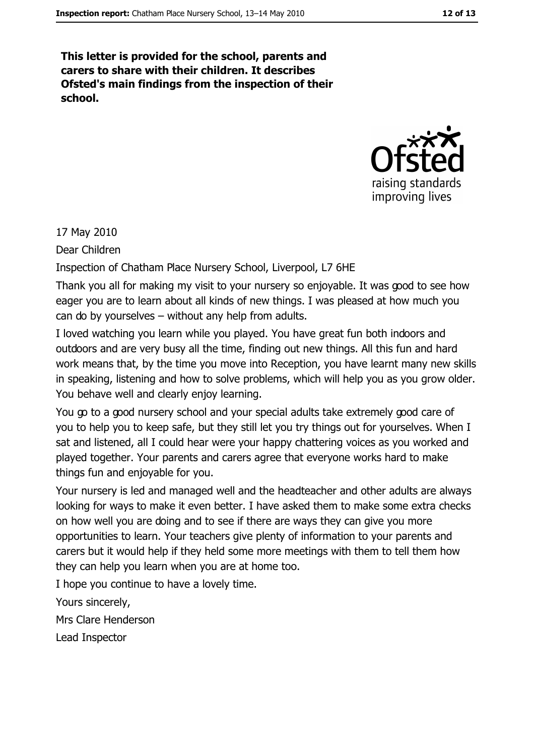This letter is provided for the school, parents and carers to share with their children. It describes Ofsted's main findings from the inspection of their school.



17 May 2010

Dear Children

Inspection of Chatham Place Nursery School, Liverpool, L7 6HE

Thank you all for making my visit to your nursery so enjoyable. It was good to see how eager you are to learn about all kinds of new things. I was pleased at how much you can do by yourselves - without any help from adults.

I loved watching you learn while you played. You have great fun both indoors and outdoors and are very busy all the time, finding out new things. All this fun and hard work means that, by the time you move into Reception, you have learnt many new skills in speaking, listening and how to solve problems, which will help you as you grow older. You behave well and clearly enjoy learning.

You go to a good nursery school and your special adults take extremely good care of you to help you to keep safe, but they still let you try things out for yourselves. When I sat and listened, all I could hear were your happy chattering voices as you worked and played together. Your parents and carers agree that everyone works hard to make things fun and enjoyable for you.

Your nursery is led and managed well and the headteacher and other adults are always looking for ways to make it even better. I have asked them to make some extra checks on how well you are doing and to see if there are ways they can give you more opportunities to learn. Your teachers give plenty of information to your parents and carers but it would help if they held some more meetings with them to tell them how they can help you learn when you are at home too.

I hope you continue to have a lovely time.

Yours sincerely,

Mrs Clare Henderson

Lead Inspector